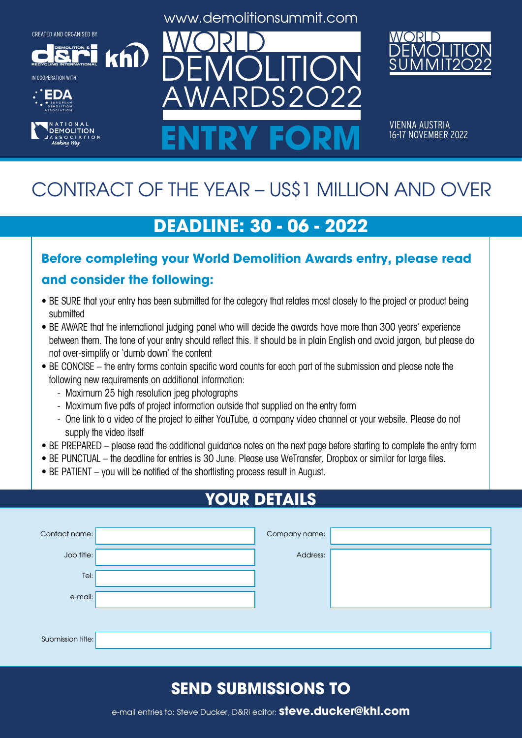**DEMOLITION &**



IN COOPERATION WITH





www.demolitionsummit.com



VIENNA AUSTRIA<br>16-17 NOVEMBER 2022 ENTRY FORM **16-17 NOVEMBER 2022** 

# CONTRACT OF THE YEAR – US\$1 MILLION AND OVER

## **DEADLINE: 30 - 06 - 2022**

# **Before completing your World Demolition Awards entry, please read**

#### **and consider the following:**

khl

- BE SURE that your entry has been submitted for the category that relates most closely to the project or product being submitted
- BE AWARE that the international judging panel who will decide the awards have more than 300 years' experience between them. The tone of your entry should reflect this. It should be in plain English and avoid jargon, but please do not over-simplify or 'dumb down' the content
- BE CONCISE the entry forms contain specific word counts for each part of the submission and please note the following new requirements on additional information:
	- Maximum 25 high resolution jpeg photographs
	- Maximum five pdfs of project information outside that supplied on the entry form
	- One link to a video of the project to either YouTube, a company video channel or your website. Please do not supply the video itself
- BE PREPARED please read the additional guidance notes on the next page before starting to complete the entry form
- BE PUNCTUAL the deadline for entries is 30 June. Please use WeTransfer, Dropbox or similar for large files.
- BE PATIENT you will be notified of the shortlisting process result in August.

## **YOUR DETAILS**

| Contact name:     | Company name: |  |
|-------------------|---------------|--|
| Job title:        | Address:      |  |
| Tel:              |               |  |
| e-mail:           |               |  |
|                   |               |  |
| Submission title: |               |  |

### **SEND SUBMISSIONS TO**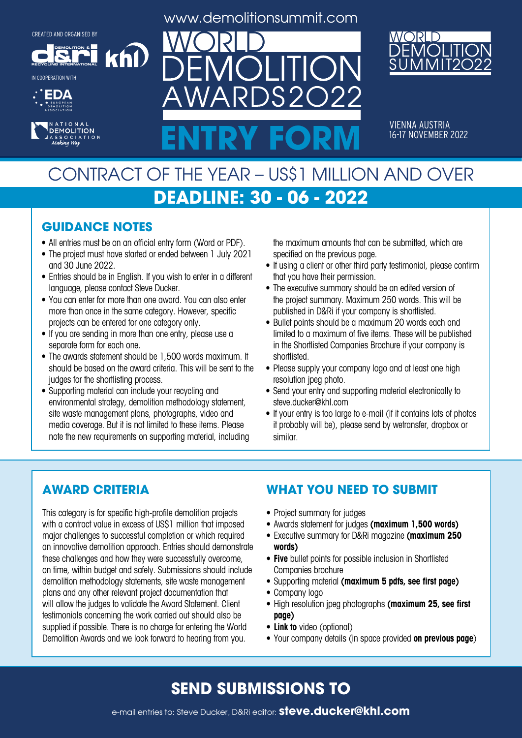**DEMOLITION &**

khl

**RECYCLING INTERNATIONAL** IN COOPERATION WITH





www.demolitionsummit.com

 $S2$ 



VIENNA AUSTRIA<br>16-17 NOVEMBER 2022 ENTRY FORM **16-17 NOVEMBER 2022** 

## CONTRACT OF THE YEAR – US\$1 MILLION AND OVER **DEADLINE: 30 - 06 - 2022**

#### **GUIDANCE NOTES**

- All entries must be on an official entry form (Word or PDF).
- The project must have started or ended between 1 July 2021 and 30 June 2022.
- Entries should be in English. If you wish to enter in a different language, please contact Steve Ducker.
- You can enter for more than one award. You can also enter more than once in the same category. However, specific projects can be entered for one category only.
- If you are sending in more than one entry, please use a separate form for each one.
- The awards statement should be 1,500 words maximum. It should be based on the award criteria. This will be sent to the judges for the shortlisting process.
- Supporting material can include your recycling and environmental strategy, demolition methodology statement, site waste management plans, photographs, video and media coverage. But it is not limited to these items. Please note the new requirements on supporting material, including

the maximum amounts that can be submitted, which are specified on the previous page.

- If using a client or other third party testimonial, please confirm that you have their permission.
- The executive summary should be an edited version of the project summary. Maximum 250 words. This will be published in D&Ri if your company is shortlisted.
- Bullet points should be a maximum 20 words each and limited to a maximum of five items. These will be published in the Shortlisted Companies Brochure if your company is shortlisted.
- Please supply your company logo and at least one high resolution jpeg photo.
- Send your entry and supporting material electronically to steve.ducker@khl.com
- If your entry is too large to e-mail (if it contains lots of photos it probably will be), please send by wetransfer, dropbox or similar.

#### **AWARD CRITERIA**

This category is for specific high-profile demolition projects with a contract value in excess of US\$1 million that imposed major challenges to successful completion or which required an innovative demolition approach. Entries should demonstrate these challenges and how they were successfully overcome, on time, within budget and safely. Submissions should include demolition methodology statements, site waste management plans and any other relevant project documentation that will allow the judges to validate the Award Statement. Client testimonials concerning the work carried out should also be supplied if possible. There is no charge for entering the World Demolition Awards and we look forward to hearing from you.

#### **WHAT YOU NEED TO SUBMIT**

- Project summary for judges
- • Awards statement for judges **(maximum 1,500 words)**
- • Executive summary for D&Ri magazine **(maximum 250 words)**
- **• Five** bullet points for possible inclusion in Shortlisted Companies brochure
- • Supporting material **(maximum 5 pdfs, see first page)**
- Company logo
- • High resolution jpeg photographs **(maximum 25, see first page)**
- **• Link to** video (optional)
- • Your company details (in space provided **on previous page**)

#### **SEND SUBMISSIONS TO**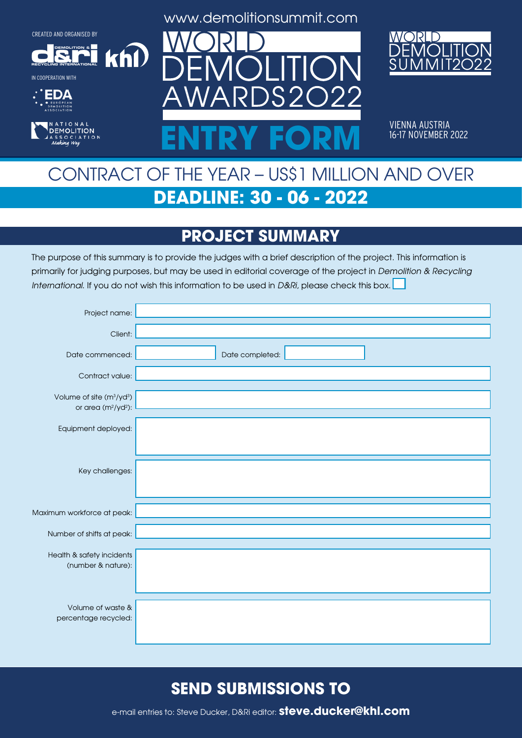**DEMOLITION &**

 $k$ h $\Omega$ 

**RECYCLING INTERNATIONAL**

IN COOPERATION WITH





www.demolitionsummit.com



VIENNA AUSTRIA<br>16-17 NOVEMBER 2022 ENTRY FORM **16-17 NOVEMBER 2022** 

## CONTRACT OF THE YEAR – US\$1 MILLION AND OVER **DEADLINE: 30 - 06 - 2022**

## **PROJECT SUMMARY**

The purpose of this summary is to provide the judges with a brief description of the project. This information is primarily for judging purposes, but may be used in editorial coverage of the project in Demolition & Recycling International. If you do not wish this information to be used in D&Ri, please check this box.

| Project name:                                                               |                 |
|-----------------------------------------------------------------------------|-----------------|
| Client:                                                                     |                 |
| Date commenced:                                                             | Date completed: |
| Contract value:                                                             |                 |
| Volume of site (m <sup>3</sup> /yd <sup>3</sup> )<br>or area $(m^2/yd^2)$ : |                 |
| Equipment deployed:                                                         |                 |
|                                                                             |                 |
| Key challenges:                                                             |                 |
|                                                                             |                 |
| Maximum workforce at peak:                                                  |                 |
| Number of shifts at peak:                                                   |                 |
| Health & safety incidents                                                   |                 |
| (number & nature):                                                          |                 |
|                                                                             |                 |
| Volume of waste &<br>percentage recycled:                                   |                 |
|                                                                             |                 |

#### **SEND SUBMISSIONS TO**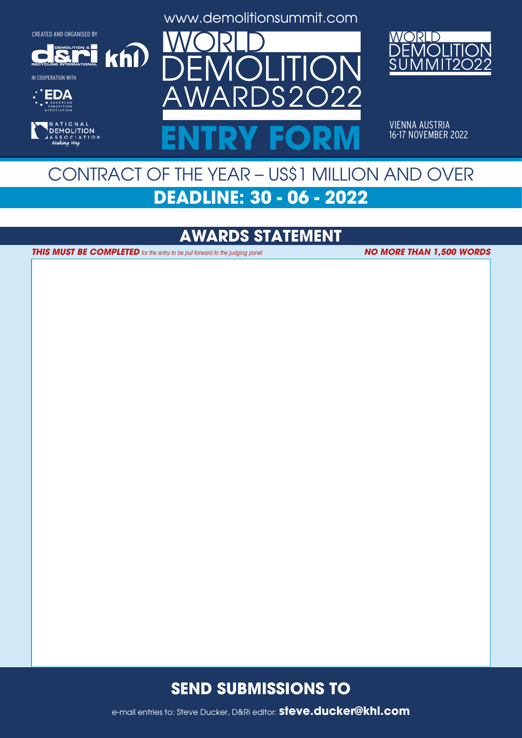**DEMOLITION &**

 $k$ h $\Omega$ 

**RECYCLING INTERNATIONAL**

IN COOPERATION WITH





www.demolitionsummit.com



VIENNA AUSTRIA ENTRY FORM **16-17 NOVEMBER 2022** 

## CONTRACT OF THE YEAR – US\$1 MILLION AND OVER **DEADLINE: 30 - 06 - 2022**

### **AWARDS STATEMENT**

**THIS MUST BE COMPLETED** for the entry to be put forward to the judging panel

**NO MORE THAN 1,500 WORDS**

#### **SEND SUBMISSIONS TO**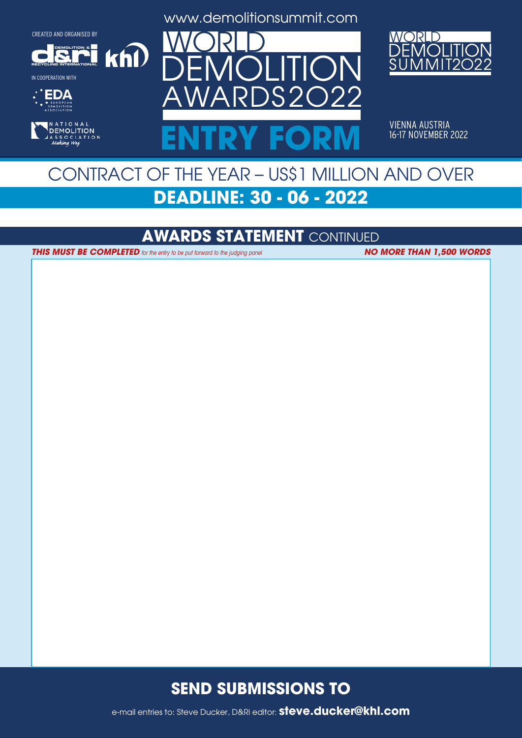**DEMOLITION &**

 $k$ h $\Omega$ 

**RECYCLING INTERNATIONAL**

IN COOPERATION WITH





www.demolitionsummit.com



VIENNA AUSTRIA ENTRY FORM **16-17 NOVEMBER 2022** 

## CONTRACT OF THE YEAR – US\$1 MILLION AND OVER **DEADLINE: 30 - 06 - 2022**

#### **AWARDS STATEMENT** CONTINUED

**THIS MUST BE COMPLETED** for the entry to be put forward to the judging panel **NO MORE THAN 1,500 WORDS** 

#### **SEND SUBMISSIONS TO**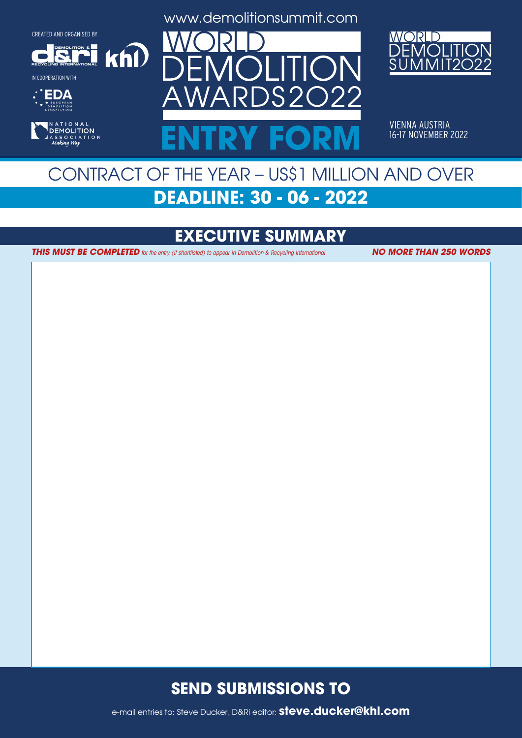**DEMOLITION &**

 $k$ h $\Omega$ 

**RECYCLING INTERNATIONAL**

IN COOPERATION WITH





www.demolitionsummit.com



VIENNA AUSTRIA ENTRY FORM **16-17 NOVEMBER 2022** 

## CONTRACT OF THE YEAR – US\$1 MILLION AND OVER **DEADLINE: 30 - 06 - 2022**

## **EXECUTIVE SUMMARY**

**THIS MUST BE COMPLETED** for the entry (if shortlisted) to appear in Demolition & Recycling International **NO MORE THAN 250 WORDS** 

#### **SEND SUBMISSIONS TO**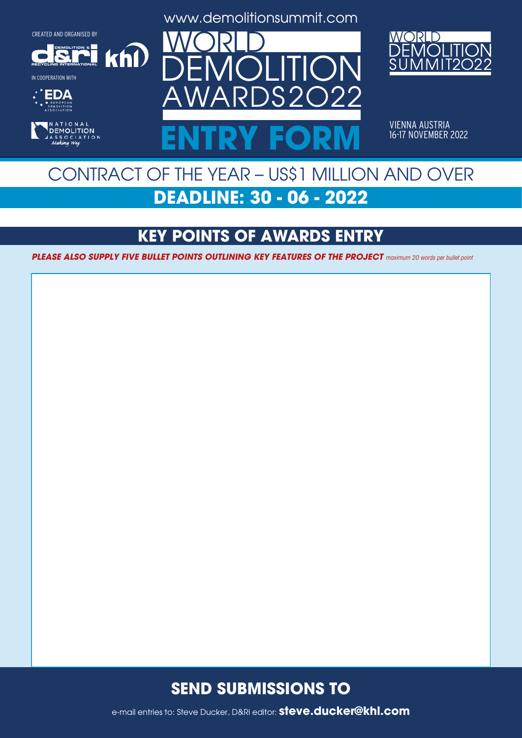**DEMOLITION &**

 $k$ h $\Omega$ 

**RECYCLING INTERNATIONAL**

IN COOPERATION WITH





www.demolitionsummit.com



VIENNA AUSTRIA<br>16-17 NOVEMBER 2022 ENTRY FORM **16-17 NOVEMBER 2022** 

## CONTRACT OF THE YEAR – US\$1 MILLION AND OVER **DEADLINE: 30 - 06 - 2022**

### **KEY POINTS OF AWARDS ENTRY**

**PLEASE ALSO SUPPLY FIVE BULLET POINTS OUTLINING KEY FEATURES OF THE PROJECT** maximum 20 words per bullet point

#### **SEND SUBMISSIONS TO**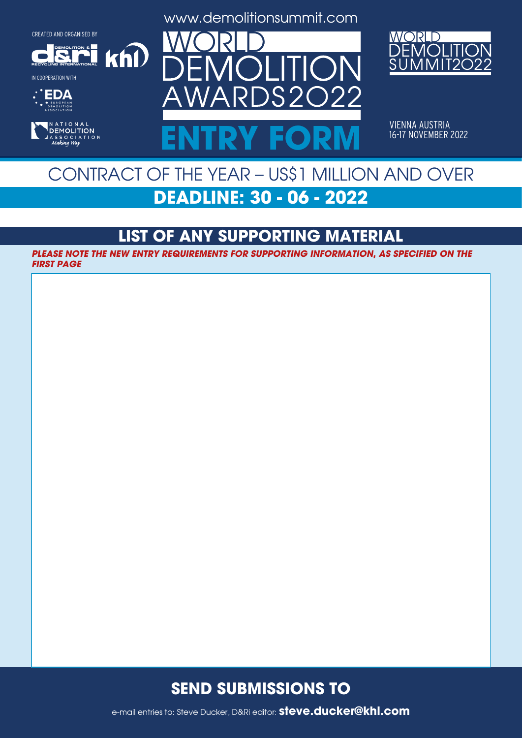**DEMOLITION &**

 $k$ h $\Omega$ 

**RECYCLING INTERNATIONAL** IN COOPERATION WITH





www.demolitionsummit.com



VIENNA AUSTRIA<br>16-17 NOVEMBER 2022 ENTRY FORM **16-17 NOVEMBER 2022** 

## CONTRACT OF THE YEAR – US\$1 MILLION AND OVER **DEADLINE: 30 - 06 - 2022**

### **LIST OF ANY SUPPORTING MATERIAL**

**PLEASE NOTE THE NEW ENTRY REQUIREMENTS FOR SUPPORTING INFORMATION, AS SPECIFIED ON THE FIRST PAGE**

#### **SEND SUBMISSIONS TO**